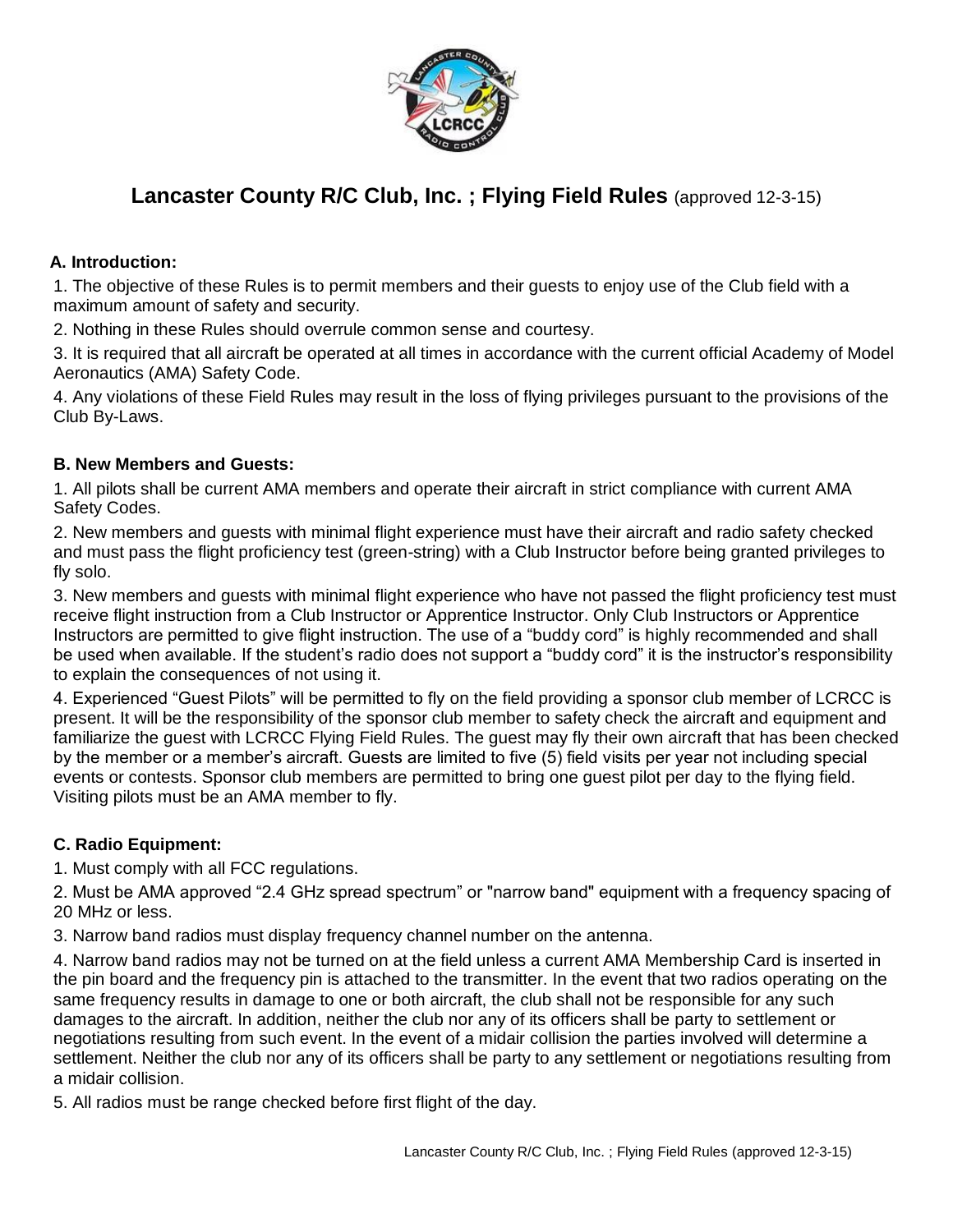

# **Lancaster County R/C Club, Inc. ; Flying Field Rules** (approved 12-3-15)

#### **A. Introduction:**

1. The objective of these Rules is to permit members and their guests to enjoy use of the Club field with a maximum amount of safety and security.

2. Nothing in these Rules should overrule common sense and courtesy.

3. It is required that all aircraft be operated at all times in accordance with the current official Academy of Model Aeronautics (AMA) Safety Code.

4. Any violations of these Field Rules may result in the loss of flying privileges pursuant to the provisions of the Club By-Laws.

#### **B. New Members and Guests:**

1. All pilots shall be current AMA members and operate their aircraft in strict compliance with current AMA Safety Codes.

2. New members and guests with minimal flight experience must have their aircraft and radio safety checked and must pass the flight proficiency test (green-string) with a Club Instructor before being granted privileges to fly solo.

3. New members and guests with minimal flight experience who have not passed the flight proficiency test must receive flight instruction from a Club Instructor or Apprentice Instructor. Only Club Instructors or Apprentice Instructors are permitted to give flight instruction. The use of a "buddy cord" is highly recommended and shall be used when available. If the student's radio does not support a "buddy cord" it is the instructor's responsibility to explain the consequences of not using it.

4. Experienced "Guest Pilots" will be permitted to fly on the field providing a sponsor club member of LCRCC is present. It will be the responsibility of the sponsor club member to safety check the aircraft and equipment and familiarize the guest with LCRCC Flying Field Rules. The guest may fly their own aircraft that has been checked by the member or a member's aircraft. Guests are limited to five (5) field visits per year not including special events or contests. Sponsor club members are permitted to bring one guest pilot per day to the flying field. Visiting pilots must be an AMA member to fly.

## **C. Radio Equipment:**

1. Must comply with all FCC regulations.

2. Must be AMA approved "2.4 GHz spread spectrum" or "narrow band" equipment with a frequency spacing of 20 MHz or less.

3. Narrow band radios must display frequency channel number on the antenna.

4. Narrow band radios may not be turned on at the field unless a current AMA Membership Card is inserted in the pin board and the frequency pin is attached to the transmitter. In the event that two radios operating on the same frequency results in damage to one or both aircraft, the club shall not be responsible for any such damages to the aircraft. In addition, neither the club nor any of its officers shall be party to settlement or negotiations resulting from such event. In the event of a midair collision the parties involved will determine a settlement. Neither the club nor any of its officers shall be party to any settlement or negotiations resulting from a midair collision.

5. All radios must be range checked before first flight of the day.